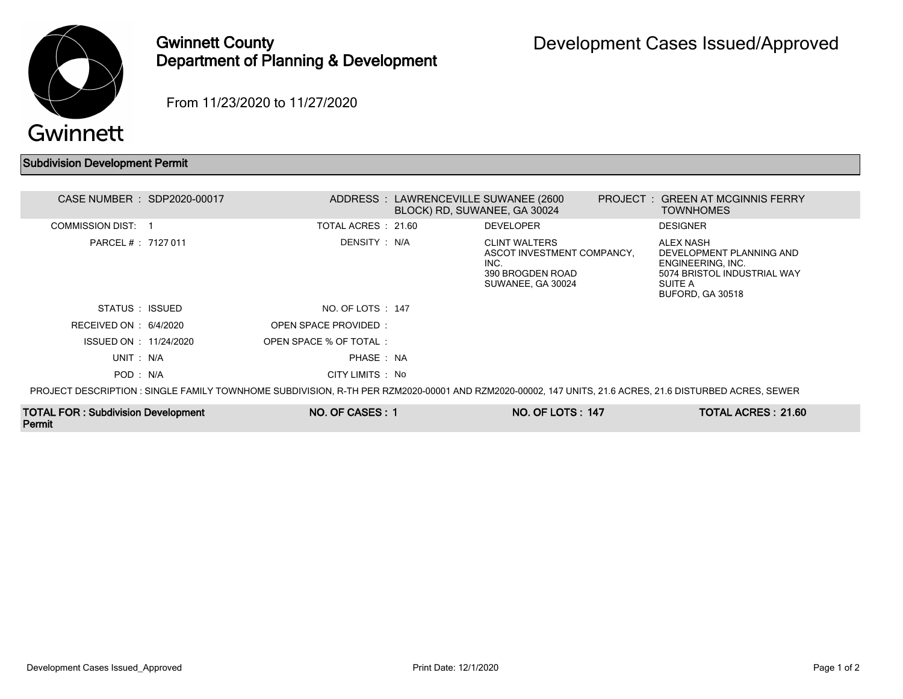

Permit

## Gwinnett County Department of Planning & Development

From 11/23/2020 to 11/27/2020

## Subdivision Development Permit

| CASE NUMBER : SDP2020-00017         |                        | ADDRESS: LAWRENCEVILLE SUWANEE (2600)<br>BLOCK) RD, SUWANEE, GA 30024 |                                                                                                     | PROJECT: GREEN AT MCGINNIS FERRY<br><b>TOWNHOMES</b>                                                                                                   |  |
|-------------------------------------|------------------------|-----------------------------------------------------------------------|-----------------------------------------------------------------------------------------------------|--------------------------------------------------------------------------------------------------------------------------------------------------------|--|
| COMMISSION DIST:                    | TOTAL ACRES : 21.60    |                                                                       | <b>DEVELOPER</b>                                                                                    | <b>DESIGNER</b>                                                                                                                                        |  |
| PARCEL # : 7127 011                 | DENSITY : N/A          |                                                                       | <b>CLINT WALTERS</b><br>ASCOT INVESTMENT COMPANCY,<br>INC.<br>390 BROGDEN ROAD<br>SUWANEE, GA 30024 | <b>ALEX NASH</b><br>DEVELOPMENT PLANNING AND<br>ENGINEERING, INC.<br>5074 BRISTOL INDUSTRIAL WAY<br>SUITE A<br>BUFORD, GA 30518                        |  |
| STATUS : ISSUED                     | NO. OF LOTS : 147      |                                                                       |                                                                                                     |                                                                                                                                                        |  |
| RECEIVED ON : $6/4/2020$            | OPEN SPACE PROVIDED:   |                                                                       |                                                                                                     |                                                                                                                                                        |  |
| ISSUED ON : 11/24/2020              | OPEN SPACE % OF TOTAL: |                                                                       |                                                                                                     |                                                                                                                                                        |  |
| UNIT: N/A                           | PHASE: NA              |                                                                       |                                                                                                     |                                                                                                                                                        |  |
| POD: N/A                            | CITY LIMITS : No       |                                                                       |                                                                                                     |                                                                                                                                                        |  |
|                                     |                        |                                                                       |                                                                                                     | PROJECT DESCRIPTION : SINGLE FAMILY TOWNHOME SUBDIVISION, R-TH PER RZM2020-00001 AND RZM2020-00002, 147 UNITS, 21.6 ACRES, 21.6 DISTURBED ACRES, SEWER |  |
| TOTAL FOR : Subdivision Development | NO. OF CASES: 1        |                                                                       | <b>NO. OF LOTS: 147</b>                                                                             | TOTAL ACRES: 21.60                                                                                                                                     |  |